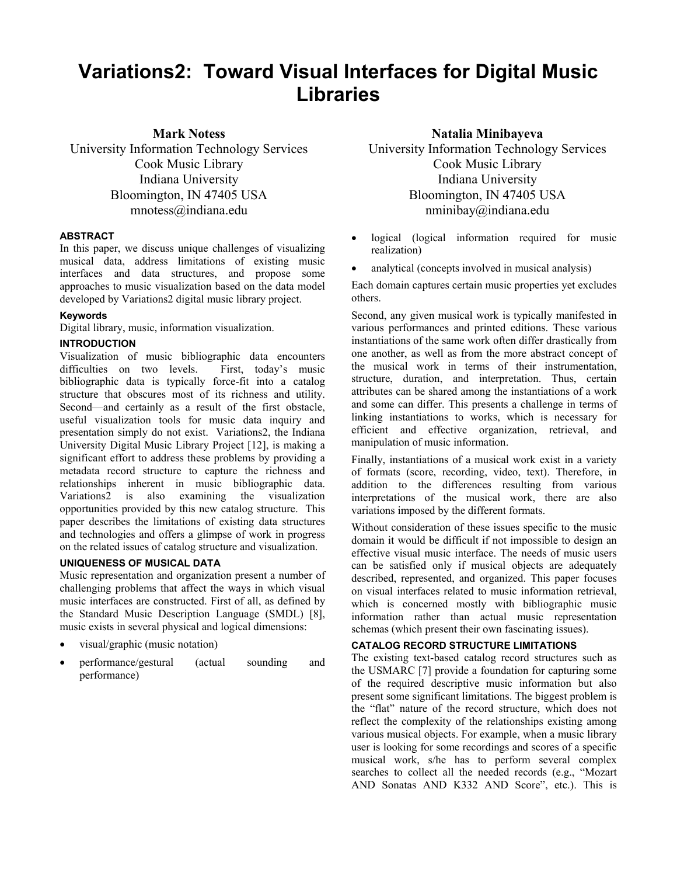# **Variations2: Toward Visual Interfaces for Digital Music Libraries**

**Mark Notess** 

University Information Technology Services Cook Music Library Indiana University Bloomington, IN 47405 USA mnotess@indiana.edu

#### **ABSTRACT**

In this paper, we discuss unique challenges of visualizing musical data, address limitations of existing music interfaces and data structures, and propose some approaches to music visualization based on the data model developed by Variations2 digital music library project.

# **Keywords**

Digital library, music, information visualization.

#### **INTRODUCTION**

Visualization of music bibliographic data encounters difficulties on two levels. First, today's music bibliographic data is typically force-fit into a catalog structure that obscures most of its richness and utility. Second—and certainly as a result of the first obstacle, useful visualization tools for music data inquiry and presentation simply do not exist. Variations2, the Indiana University Digital Music Library Project [12], is making a significant effort to address these problems by providing a metadata record structure to capture the richness and relationships inherent in music bibliographic data. Variations2 is also examining the visualization opportunities provided by this new catalog structure. This paper describes the limitations of existing data structures and technologies and offers a glimpse of work in progress on the related issues of catalog structure and visualization.

# **UNIQUENESS OF MUSICAL DATA**

Music representation and organization present a number of challenging problems that affect the ways in which visual music interfaces are constructed. First of all, as defined by the Standard Music Description Language (SMDL) [8], music exists in several physical and logical dimensions:

- visual/graphic (music notation)
- performance/gestural (actual sounding and performance)

**Natalia Minibayeva** 

University Information Technology Services Cook Music Library Indiana University Bloomington, IN 47405 USA nminibay@indiana.edu

- logical (logical information required for music realization)
- analytical (concepts involved in musical analysis)

Each domain captures certain music properties yet excludes others.

Second, any given musical work is typically manifested in various performances and printed editions. These various instantiations of the same work often differ drastically from one another, as well as from the more abstract concept of the musical work in terms of their instrumentation, structure, duration, and interpretation. Thus, certain attributes can be shared among the instantiations of a work and some can differ. This presents a challenge in terms of linking instantiations to works, which is necessary for efficient and effective organization, retrieval, and manipulation of music information.

Finally, instantiations of a musical work exist in a variety of formats (score, recording, video, text). Therefore, in addition to the differences resulting from various interpretations of the musical work, there are also variations imposed by the different formats.

Without consideration of these issues specific to the music domain it would be difficult if not impossible to design an effective visual music interface. The needs of music users can be satisfied only if musical objects are adequately described, represented, and organized. This paper focuses on visual interfaces related to music information retrieval, which is concerned mostly with bibliographic music information rather than actual music representation schemas (which present their own fascinating issues).

# **CATALOG RECORD STRUCTURE LIMITATIONS**

The existing text-based catalog record structures such as the USMARC [7] provide a foundation for capturing some of the required descriptive music information but also present some significant limitations. The biggest problem is the "flat" nature of the record structure, which does not reflect the complexity of the relationships existing among various musical objects. For example, when a music library user is looking for some recordings and scores of a specific musical work, s/he has to perform several complex searches to collect all the needed records (e.g., "Mozart AND Sonatas AND K332 AND Score", etc.). This is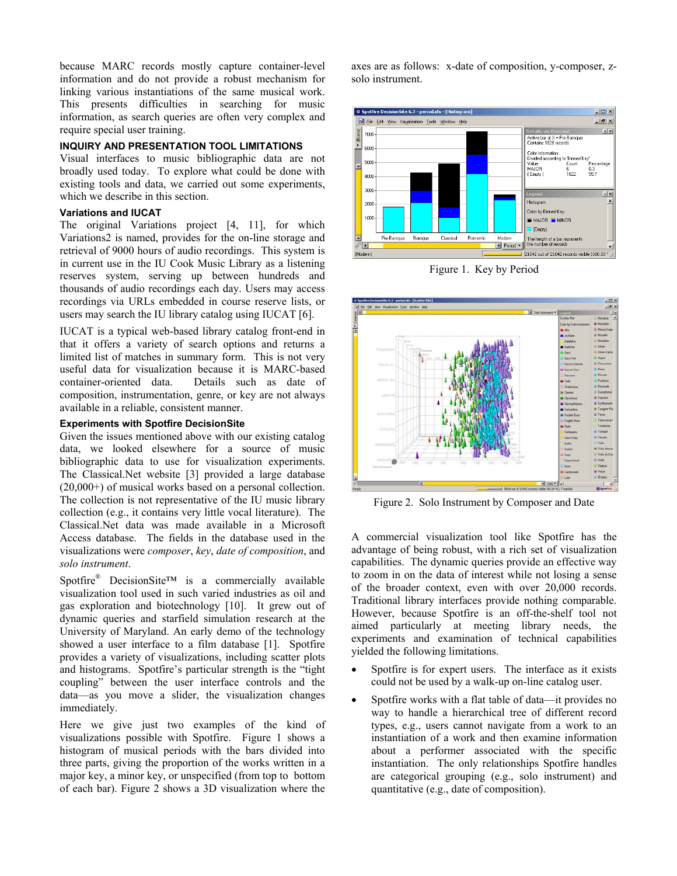because MARC records mostly capture container-level information and do not provide a robust mechanism for linking various instantiations of the same musical work. This presents difficulties in searching for music information, as search queries are often very complex and require special user training.

# **INQUIRY AND PRESENTATION TOOL LIMITATIONS**

Visual interfaces to music bibliographic data are not broadly used today. To explore what could be done with existing tools and data, we carried out some experiments, which we describe in this section.

## **Variations and IUCAT**

The original Variations project [4, 11], for which Variations2 is named, provides for the on-line storage and retrieval of 9000 hours of audio recordings. This system is in current use in the IU Cook Music Library as a listening reserves system, serving up between hundreds and thousands of audio recordings each day. Users may access recordings via URLs embedded in course reserve lists, or users may search the IU library catalog using IUCAT [6].

IUCAT is a typical web-based library catalog front-end in that it offers a variety of search options and returns a limited list of matches in summary form. This is not very useful data for visualization because it is MARC-based container-oriented data. Details such as date of composition, instrumentation, genre, or key are not always available in a reliable, consistent manner.

#### **Experiments with Spotfire DecisionSite**

Given the issues mentioned above with our existing catalog data, we looked elsewhere for a source of music bibliographic data to use for visualization experiments. The Classical.Net website [3] provided a large database (20,000+) of musical works based on a personal collection. The collection is not representative of the IU music library collection (e.g., it contains very little vocal literature). The Classical.Net data was made available in a Microsoft Access database. The fields in the database used in the visualizations were *composer*, *key*, *date of composition*, and *solo instrument*.

Spotfire<sup>®</sup> DecisionSite™ is a commercially available visualization tool used in such varied industries as oil and gas exploration and biotechnology [10]. It grew out of dynamic queries and starfield simulation research at the University of Maryland. An early demo of the technology showed a user interface to a film database [1]. Spotfire provides a variety of visualizations, including scatter plots and histograms. Spotfire's particular strength is the "tight coupling" between the user interface controls and the data—as you move a slider, the visualization changes immediately.

Here we give just two examples of the kind of visualizations possible with Spotfire. Figure 1 shows a histogram of musical periods with the bars divided into three parts, giving the proportion of the works written in a major key, a minor key, or unspecified (from top to bottom of each bar). Figure 2 shows a 3D visualization where the

axes are as follows: x-date of composition, y-composer, zsolo instrument.



Figure 1. Key by Period



Figure 2. Solo Instrument by Composer and Date

A commercial visualization tool like Spotfire has the advantage of being robust, with a rich set of visualization capabilities. The dynamic queries provide an effective way to zoom in on the data of interest while not losing a sense of the broader context, even with over 20,000 records. Traditional library interfaces provide nothing comparable. However, because Spotfire is an off-the-shelf tool not aimed particularly at meeting library needs, the experiments and examination of technical capabilities yielded the following limitations.

- Spotfire is for expert users. The interface as it exists could not be used by a walk-up on-line catalog user.
- Spotfire works with a flat table of data—it provides no way to handle a hierarchical tree of different record types, e.g., users cannot navigate from a work to an instantiation of a work and then examine information about a performer associated with the specific instantiation. The only relationships Spotfire handles are categorical grouping (e.g., solo instrument) and quantitative (e.g., date of composition).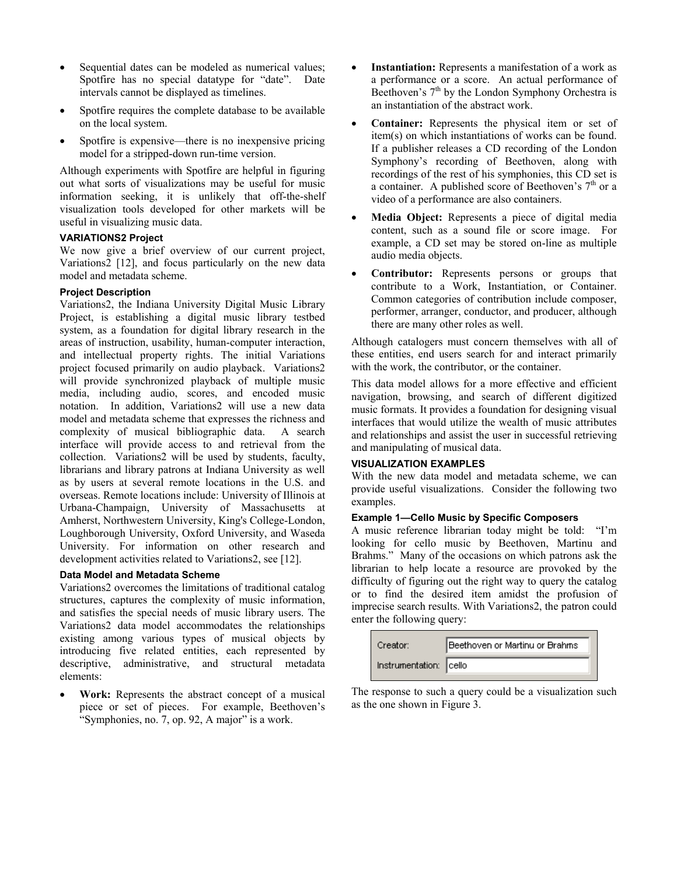- Sequential dates can be modeled as numerical values; Spotfire has no special datatype for "date". Date intervals cannot be displayed as timelines.
- Spotfire requires the complete database to be available on the local system.
- Spotfire is expensive—there is no inexpensive pricing model for a stripped-down run-time version.

Although experiments with Spotfire are helpful in figuring out what sorts of visualizations may be useful for music information seeking, it is unlikely that off-the-shelf visualization tools developed for other markets will be useful in visualizing music data.

#### **VARIATIONS2 Project**

We now give a brief overview of our current project, Variations2 [12], and focus particularly on the new data model and metadata scheme.

## **Project Description**

Variations2, the Indiana University Digital Music Library Project, is establishing a digital music library testbed system, as a foundation for digital library research in the areas of instruction, usability, human-computer interaction, and intellectual property rights. The initial Variations project focused primarily on audio playback. Variations2 will provide synchronized playback of multiple music media, including audio, scores, and encoded music notation. In addition, Variations2 will use a new data model and metadata scheme that expresses the richness and complexity of musical bibliographic data. A search interface will provide access to and retrieval from the collection. Variations2 will be used by students, faculty, librarians and library patrons at Indiana University as well as by users at several remote locations in the U.S. and overseas. Remote locations include: University of Illinois at Urbana-Champaign, University of Massachusetts at Amherst, Northwestern University, King's College-London, Loughborough University, Oxford University, and Waseda University. For information on other research and development activities related to Variations2, see [12].

#### **Data Model and Metadata Scheme**

Variations2 overcomes the limitations of traditional catalog structures, captures the complexity of music information, and satisfies the special needs of music library users. The Variations2 data model accommodates the relationships existing among various types of musical objects by introducing five related entities, each represented by descriptive, administrative, and structural metadata elements:

• **Work:** Represents the abstract concept of a musical piece or set of pieces. For example, Beethoven's "Symphonies, no. 7, op. 92, A major" is a work.

- **Instantiation:** Represents a manifestation of a work as a performance or a score. An actual performance of Beethoven's  $7<sup>th</sup>$  by the London Symphony Orchestra is an instantiation of the abstract work.
- **Container:** Represents the physical item or set of item(s) on which instantiations of works can be found. If a publisher releases a CD recording of the London Symphony's recording of Beethoven, along with recordings of the rest of his symphonies, this CD set is a container. A published score of Beethoven's  $7<sup>th</sup>$  or a video of a performance are also containers.
- Media Object: Represents a piece of digital media content, such as a sound file or score image. For example, a CD set may be stored on-line as multiple audio media objects.
- **Contributor:** Represents persons or groups that contribute to a Work, Instantiation, or Container. Common categories of contribution include composer, performer, arranger, conductor, and producer, although there are many other roles as well.

Although catalogers must concern themselves with all of these entities, end users search for and interact primarily with the work, the contributor, or the container.

This data model allows for a more effective and efficient navigation, browsing, and search of different digitized music formats. It provides a foundation for designing visual interfaces that would utilize the wealth of music attributes and relationships and assist the user in successful retrieving and manipulating of musical data.

# **VISUALIZATION EXAMPLES**

With the new data model and metadata scheme, we can provide useful visualizations. Consider the following two examples.

# **Example 1—Cello Music by Specific Composers**

A music reference librarian today might be told: "I'm looking for cello music by Beethoven, Martinu and Brahms." Many of the occasions on which patrons ask the librarian to help locate a resource are provoked by the difficulty of figuring out the right way to query the catalog or to find the desired item amidst the profusion of imprecise search results. With Variations2, the patron could enter the following query:

| Creator:               | Beethoven or Martinu or Brahms |  |
|------------------------|--------------------------------|--|
| Instrumentation: cello |                                |  |

The response to such a query could be a visualization such as the one shown in Figure 3.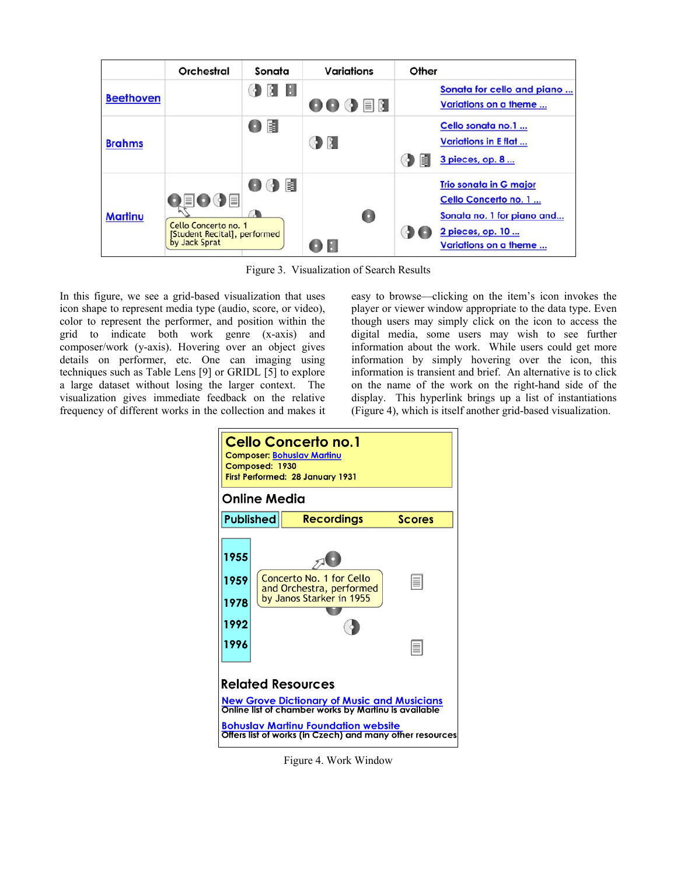|                  | Orchestral                                                                    | Sonata      | <b>Variations</b>                                    | Other                                                                                                                            |
|------------------|-------------------------------------------------------------------------------|-------------|------------------------------------------------------|----------------------------------------------------------------------------------------------------------------------------------|
| <b>Beethoven</b> |                                                                               | $\Box$<br>a | $\mathbf{O} \mathbf{O} \mathbf{O} \equiv \mathbf{N}$ | Sonata for cello and piano<br>Variations on a theme                                                                              |
| <b>Brahms</b>    |                                                                               | 闍           | $\mathcal{P}$                                        | Cello sonata no.1<br><b>Variations in E flat</b><br>矎<br>3 pieces, op. 8<br>Q.                                                   |
| <b>Martinu</b>   | 目〇〇目<br>Cello Concerto no. 1<br>[Student Recital], performed<br>by Jack Sprat | 閐<br>o      | O                                                    | <b>Trio sonata in G major</b><br>Cello Concerto no. 1<br>Sonata no. 1 for piano and<br>2 pieces, op. 10<br>Variations on a theme |

Figure 3. Visualization of Search Results

In this figure, we see a grid-based visualization that uses icon shape to represent media type (audio, score, or video), color to represent the performer, and position within the grid to indicate both work genre (x-axis) and composer/work (y-axis). Hovering over an object gives details on performer, etc. One can imaging using techniques such as Table Lens [9] or GRIDL [5] to explore a large dataset without losing the larger context. The visualization gives immediate feedback on the relative frequency of different works in the collection and makes it easy to browse—clicking on the item's icon invokes the player or viewer window appropriate to the data type. Even though users may simply click on the icon to access the digital media, some users may wish to see further information about the work. While users could get more information by simply hovering over the icon, this information is transient and brief. An alternative is to click on the name of the work on the right-hand side of the display. This hyperlink brings up a list of instantiations (Figure 4), which is itself another grid-based visualization.



Figure 4. Work Window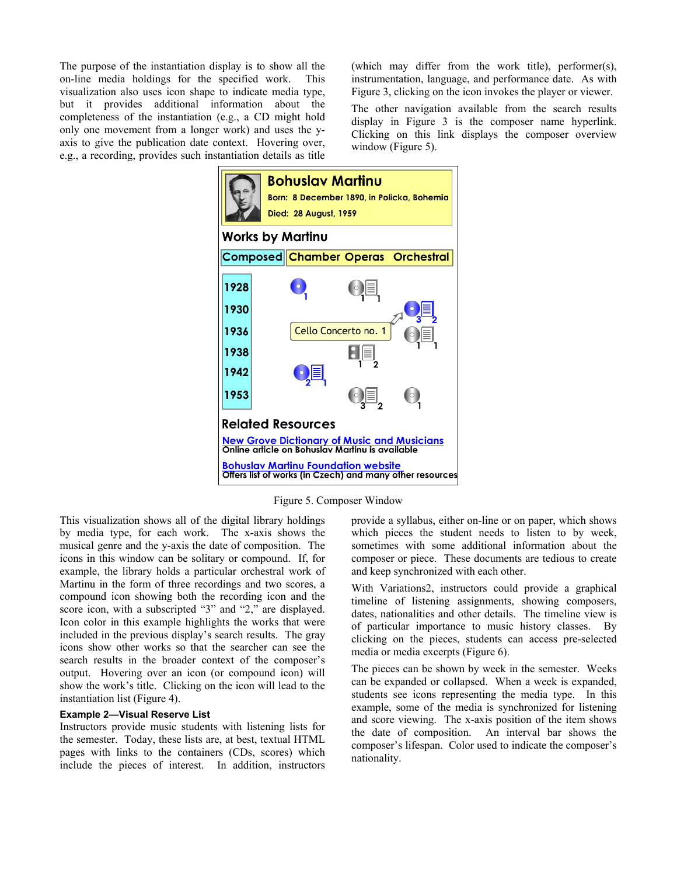The purpose of the instantiation display is to show all the on-line media holdings for the specified work. This visualization also uses icon shape to indicate media type, but it provides additional information about the completeness of the instantiation (e.g., a CD might hold only one movement from a longer work) and uses the yaxis to give the publication date context. Hovering over, e.g., a recording, provides such instantiation details as title

(which may differ from the work title), performer(s), instrumentation, language, and performance date. As with Figure 3, clicking on the icon invokes the player or viewer.

The other navigation available from the search results display in Figure 3 is the composer name hyperlink. Clicking on this link displays the composer overview window (Figure 5).



Figure 5. Composer Window

This visualization shows all of the digital library holdings by media type, for each work. The x-axis shows the musical genre and the y-axis the date of composition. The icons in this window can be solitary or compound. If, for example, the library holds a particular orchestral work of Martinu in the form of three recordings and two scores, a compound icon showing both the recording icon and the score icon, with a subscripted "3" and "2," are displayed. Icon color in this example highlights the works that were included in the previous display's search results. The gray icons show other works so that the searcher can see the search results in the broader context of the composer's output. Hovering over an icon (or compound icon) will show the work's title. Clicking on the icon will lead to the instantiation list (Figure 4).

# **Example 2—Visual Reserve List**

Instructors provide music students with listening lists for the semester. Today, these lists are, at best, textual HTML pages with links to the containers (CDs, scores) which include the pieces of interest. In addition, instructors

provide a syllabus, either on-line or on paper, which shows which pieces the student needs to listen to by week, sometimes with some additional information about the composer or piece. These documents are tedious to create and keep synchronized with each other.

With Variations2, instructors could provide a graphical timeline of listening assignments, showing composers, dates, nationalities and other details. The timeline view is of particular importance to music history classes. By clicking on the pieces, students can access pre-selected media or media excerpts (Figure 6).

The pieces can be shown by week in the semester. Weeks can be expanded or collapsed. When a week is expanded, students see icons representing the media type. In this example, some of the media is synchronized for listening and score viewing. The x-axis position of the item shows the date of composition. An interval bar shows the composer's lifespan. Color used to indicate the composer's nationality.